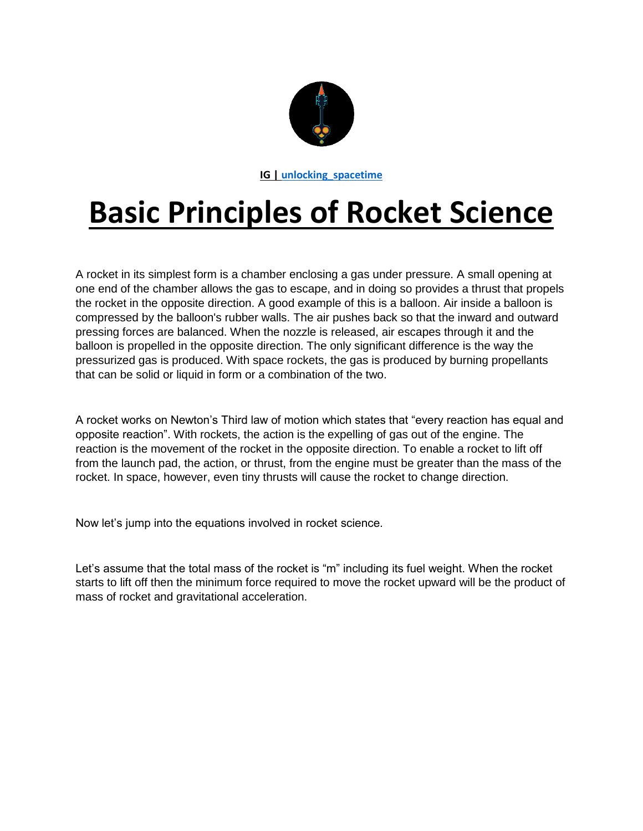

**IG | [unlocking\\_spacetime](https://www.instagram.com/unlocking_spacetime/)**

## **Basic Principles of Rocket Science**

A rocket in its simplest form is a chamber enclosing a gas under pressure. A small opening at one end of the chamber allows the gas to escape, and in doing so provides a thrust that propels the rocket in the opposite direction. A good example of this is a balloon. Air inside a balloon is compressed by the balloon's rubber walls. The air pushes back so that the inward and outward pressing forces are balanced. When the nozzle is released, air escapes through it and the balloon is propelled in the opposite direction. The only significant difference is the way the pressurized gas is produced. With space rockets, the gas is produced by burning propellants that can be solid or liquid in form or a combination of the two.

A rocket works on Newton's Third law of motion which states that "every reaction has equal and opposite reaction". With rockets, the action is the expelling of gas out of the engine. The reaction is the movement of the rocket in the opposite direction. To enable a rocket to lift off from the launch pad, the action, or thrust, from the engine must be greater than the mass of the rocket. In space, however, even tiny thrusts will cause the rocket to change direction.

Now let's jump into the equations involved in rocket science.

Let's assume that the total mass of the rocket is "m" including its fuel weight. When the rocket starts to lift off then the minimum force required to move the rocket upward will be the product of mass of rocket and gravitational acceleration.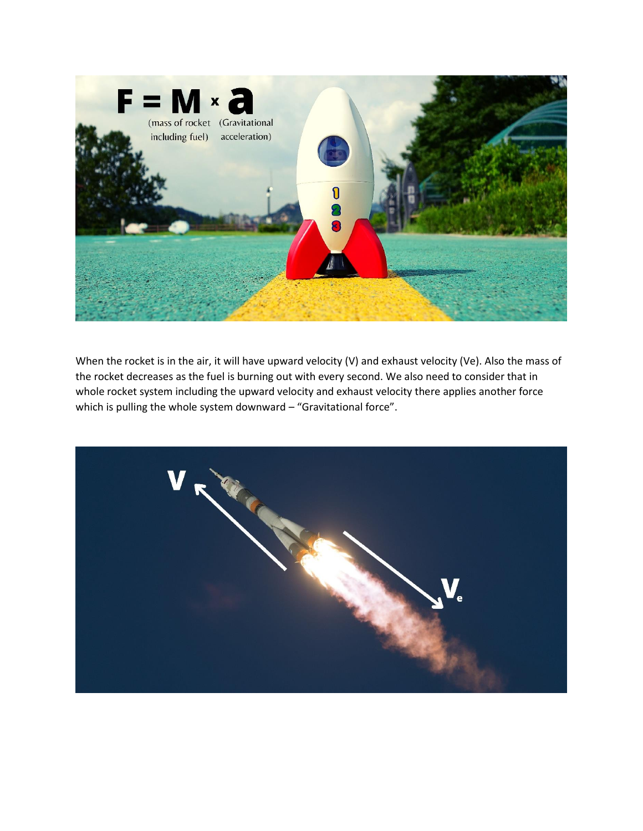

When the rocket is in the air, it will have upward velocity (V) and exhaust velocity (Ve). Also the mass of the rocket decreases as the fuel is burning out with every second. We also need to consider that in whole rocket system including the upward velocity and exhaust velocity there applies another force which is pulling the whole system downward – "Gravitational force".

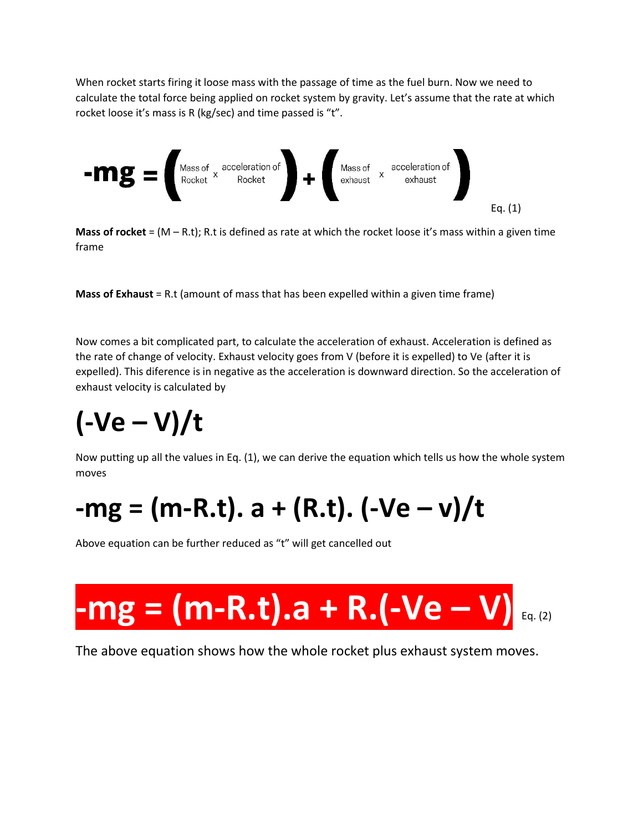When rocket starts firing it loose mass with the passage of time as the fuel burn. Now we need to calculate the total force being applied on rocket system by gravity. Let's assume that the rate at which rocket loose it's mass is R (kg/sec) and time passed is "t".



**Mass of rocket** =  $(M - R.t)$ ; R.t is defined as rate at which the rocket loose it's mass within a given time frame

**Mass of Exhaust** = R.t (amount of mass that has been expelled within a given time frame)

Now comes a bit complicated part, to calculate the acceleration of exhaust. Acceleration is defined as the rate of change of velocity. Exhaust velocity goes from V (before it is expelled) to Ve (after it is expelled). This diference is in negative as the acceleration is downward direction. So the acceleration of exhaust velocity is calculated by

# **(-Ve – V)/t**

Now putting up all the values in Eq. (1), we can derive the equation which tells us how the whole system moves

## **-mg = (m-R.t). a + (R.t). (-Ve – v)/t**

Above equation can be further reduced as "t" will get cancelled out

# $-mg = (m-R.t).a + R.(-Ve - V)$

The above equation shows how the whole rocket plus exhaust system moves.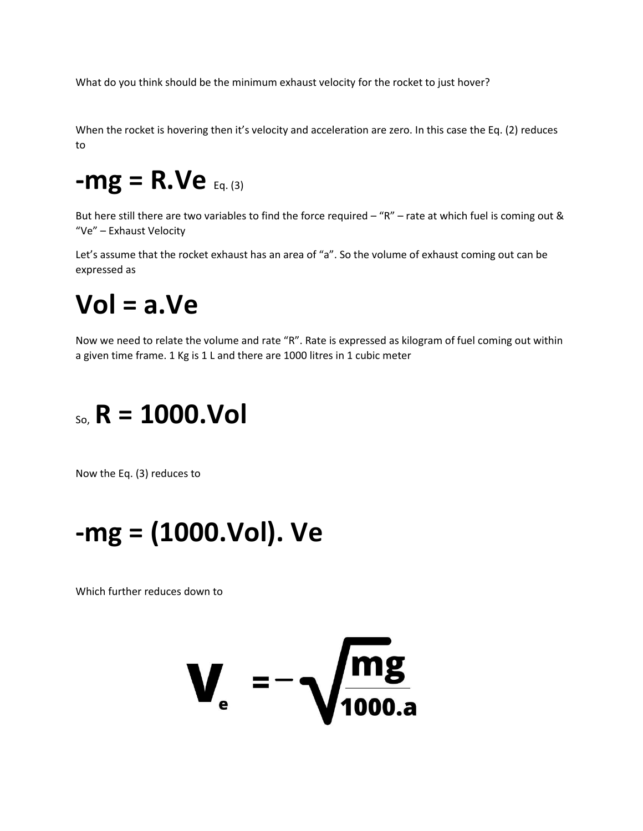What do you think should be the minimum exhaust velocity for the rocket to just hover?

When the rocket is hovering then it's velocity and acceleration are zero. In this case the Eq. (2) reduces to

#### **-mg = R.Ve** Eq. (3)

But here still there are two variables to find the force required – "R" – rate at which fuel is coming out & "Ve" – Exhaust Velocity

Let's assume that the rocket exhaust has an area of "a". So the volume of exhaust coming out can be expressed as

#### **Vol = a.Ve**

Now we need to relate the volume and rate "R". Rate is expressed as kilogram of fuel coming out within a given time frame. 1 Kg is 1 L and there are 1000 litres in 1 cubic meter

#### So, **R = 1000.Vol**

Now the Eq. (3) reduces to

#### **-mg = (1000.Vol). Ve**

Which further reduces down to